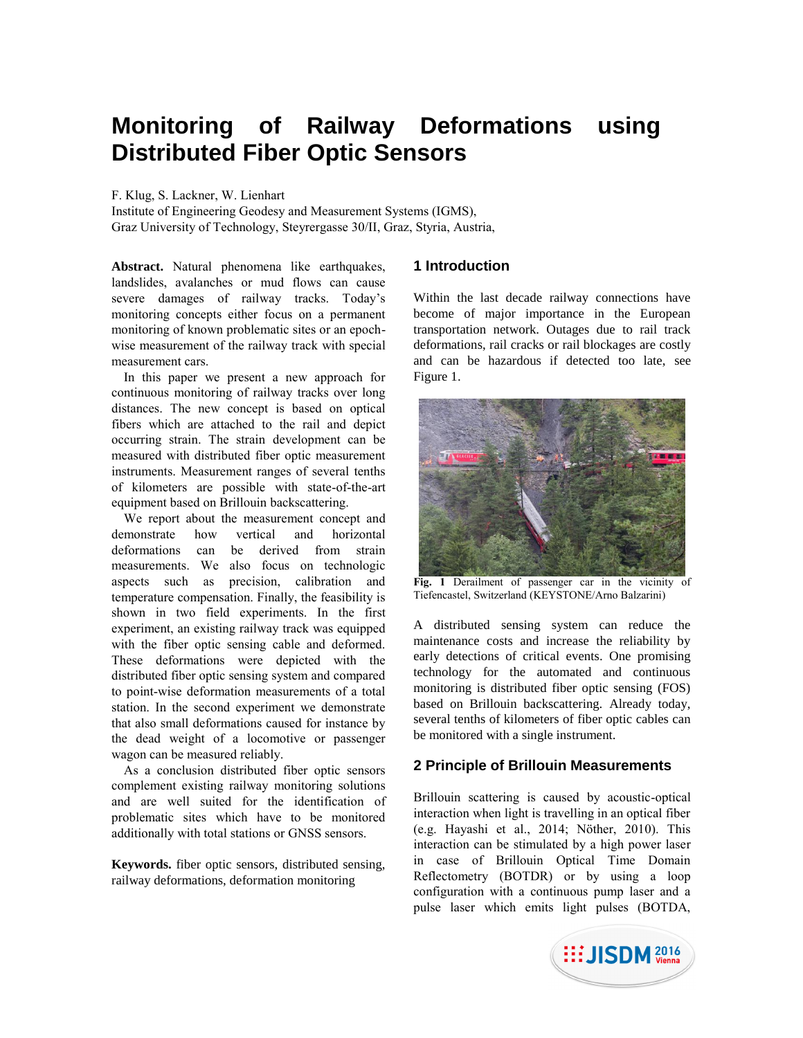# **Monitoring of Railway Deformations using Distributed Fiber Optic Sensors**

F. Klug, S. Lackner, W. Lienhart

Institute of Engineering Geodesy and Measurement Systems (IGMS), Graz University of Technology, Steyrergasse 30/II, Graz, Styria, Austria,

**Abstract.** Natural phenomena like earthquakes, landslides, avalanches or mud flows can cause severe damages of railway tracks. Today's monitoring concepts either focus on a permanent monitoring of known problematic sites or an epochwise measurement of the railway track with special measurement cars.

In this paper we present a new approach for continuous monitoring of railway tracks over long distances. The new concept is based on optical fibers which are attached to the rail and depict occurring strain. The strain development can be measured with distributed fiber optic measurement instruments. Measurement ranges of several tenths of kilometers are possible with state-of-the-art equipment based on Brillouin backscattering.

We report about the measurement concept and demonstrate how vertical and horizontal deformations can be derived from strain measurements. We also focus on technologic aspects such as precision, calibration and temperature compensation. Finally, the feasibility is shown in two field experiments. In the first experiment, an existing railway track was equipped with the fiber optic sensing cable and deformed. These deformations were depicted with the distributed fiber optic sensing system and compared to point-wise deformation measurements of a total station. In the second experiment we demonstrate that also small deformations caused for instance by the dead weight of a locomotive or passenger wagon can be measured reliably.

As a conclusion distributed fiber optic sensors complement existing railway monitoring solutions and are well suited for the identification of problematic sites which have to be monitored additionally with total stations or GNSS sensors.

**Keywords.** fiber optic sensors, distributed sensing, railway deformations, deformation monitoring

# **1 Introduction**

Within the last decade railway connections have become of major importance in the European transportation network. Outages due to rail track deformations, rail cracks or rail blockages are costly and can be hazardous if detected too late, see Figure 1.



**Fig. 1** Derailment of passenger car in the vicinity of Tiefencastel, Switzerland (KEYSTONE/Arno Balzarini)

A distributed sensing system can reduce the maintenance costs and increase the reliability by early detections of critical events. One promising technology for the automated and continuous monitoring is distributed fiber optic sensing (FOS) based on Brillouin backscattering. Already today, several tenths of kilometers of fiber optic cables can be monitored with a single instrument.

# **2 Principle of Brillouin Measurements**

Brillouin scattering is caused by acoustic-optical interaction when light is travelling in an optical fiber (e.g. Hayashi et al., 2014; Nöther, 2010). This interaction can be stimulated by a high power laser in case of Brillouin Optical Time Domain Reflectometry (BOTDR) or by using a loop configuration with a continuous pump laser and a pulse laser which emits light pulses (BOTDA,

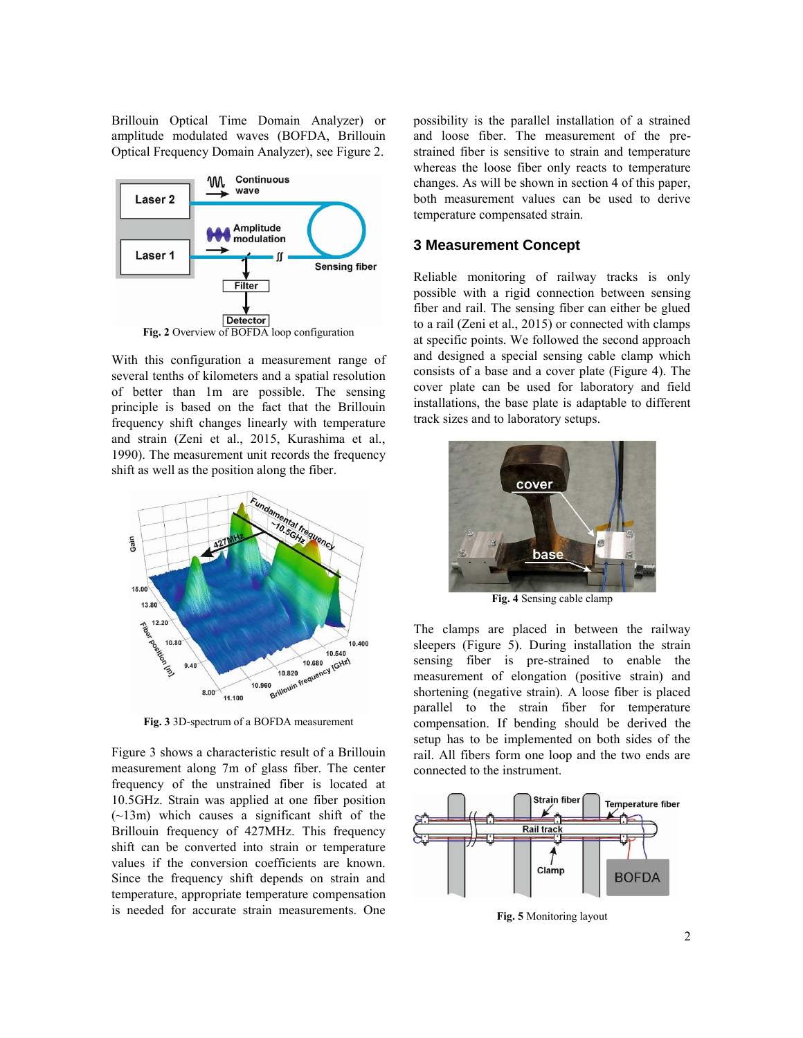Brillouin Optical Time Domain Analyzer) or amplitude modulated waves (BOFDA, Brillouin Optical Frequency Domain Analyzer), see Figure 2.



With this configuration a measurement range of several tenths of kilometers and a spatial resolution of better than 1m are possible. The sensing principle is based on the fact that the Brillouin frequency shift changes linearly with temperature and strain (Zeni et al., 2015, Kurashima et al., 1990). The measurement unit records the frequency shift as well as the position along the fiber.



**Fig. 3** 3D-spectrum of a BOFDA measurement

Figure 3 shows a characteristic result of a Brillouin measurement along 7m of glass fiber. The center frequency of the unstrained fiber is located at 10.5GHz. Strain was applied at one fiber position (~13m) which causes a significant shift of the Brillouin frequency of 427MHz. This frequency shift can be converted into strain or temperature values if the conversion coefficients are known. Since the frequency shift depends on strain and temperature, appropriate temperature compensation is needed for accurate strain measurements. One

possibility is the parallel installation of a strained and loose fiber. The measurement of the prestrained fiber is sensitive to strain and temperature whereas the loose fiber only reacts to temperature changes. As will be shown in section 4 of this paper, both measurement values can be used to derive temperature compensated strain.

## **3 Measurement Concept**

Reliable monitoring of railway tracks is only possible with a rigid connection between sensing fiber and rail. The sensing fiber can either be glued to a rail (Zeni et al., 2015) or connected with clamps at specific points. We followed the second approach and designed a special sensing cable clamp which consists of a base and a cover plate (Figure 4). The cover plate can be used for laboratory and field installations, the base plate is adaptable to different track sizes and to laboratory setups.



**Fig. 4** Sensing cable clamp

The clamps are placed in between the railway sleepers (Figure 5). During installation the strain sensing fiber is pre-strained to enable the measurement of elongation (positive strain) and shortening (negative strain). A loose fiber is placed parallel to the strain fiber for temperature compensation. If bending should be derived the setup has to be implemented on both sides of the rail. All fibers form one loop and the two ends are connected to the instrument.



**Fig. 5** Monitoring layout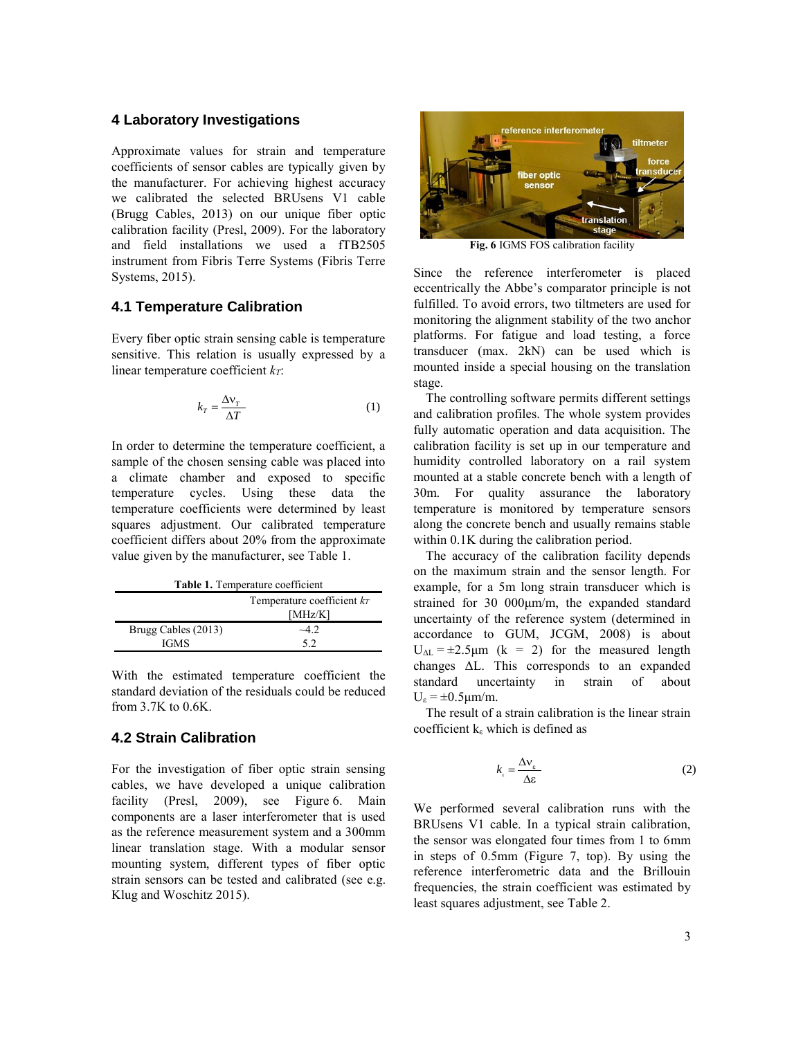#### **4 Laboratory Investigations**

Approximate values for strain and temperature coefficients of sensor cables are typically given by the manufacturer. For achieving highest accuracy we calibrated the selected BRUsens V1 cable (Brugg Cables, 2013) on our unique fiber optic calibration facility (Presl, 2009). For the laboratory and field installations we used a fTB2505 instrument from Fibris Terre Systems (Fibris Terre Systems, 2015).

#### **4.1 Temperature Calibration**

Every fiber optic strain sensing cable is temperature sensitive. This relation is usually expressed by a linear temperature coefficient *kT*:

$$
k_T = \frac{\Delta v_T}{\Delta T} \tag{1}
$$

In order to determine the temperature coefficient, a sample of the chosen sensing cable was placed into a climate chamber and exposed to specific temperature cycles. Using these data the temperature coefficients were determined by least squares adjustment. Our calibrated temperature coefficient differs about 20% from the approximate value given by the manufacturer, see Table 1.

| Table 1. Temperature coefficient |                               |  |
|----------------------------------|-------------------------------|--|
|                                  | Temperature coefficient $k_T$ |  |
|                                  | [MHz/K]                       |  |
| Brugg Cables (2013)              | $-42$                         |  |
| <b>IGMS</b>                      | 52                            |  |

With the estimated temperature coefficient the standard deviation of the residuals could be reduced from 3.7K to 0.6K.

# **4.2 Strain Calibration**

For the investigation of fiber optic strain sensing cables, we have developed a unique calibration facility (Presl, 2009), see Figure 6. Main components are a laser interferometer that is used as the reference measurement system and a 300mm linear translation stage. With a modular sensor mounting system, different types of fiber optic strain sensors can be tested and calibrated (see e.g. Klug and Woschitz 2015).



**Fig. 6** IGMS FOS calibration facility

Since the reference interferometer is placed eccentrically the Abbe's comparator principle is not fulfilled. To avoid errors, two tiltmeters are used for monitoring the alignment stability of the two anchor platforms. For fatigue and load testing, a force transducer (max. 2kN) can be used which is mounted inside a special housing on the translation stage.

The controlling software permits different settings and calibration profiles. The whole system provides fully automatic operation and data acquisition. The calibration facility is set up in our temperature and humidity controlled laboratory on a rail system mounted at a stable concrete bench with a length of 30m. For quality assurance the laboratory temperature is monitored by temperature sensors along the concrete bench and usually remains stable within 0.1K during the calibration period.

The accuracy of the calibration facility depends on the maximum strain and the sensor length. For example, for a 5m long strain transducer which is strained for 30 000μm/m, the expanded standard uncertainty of the reference system (determined in accordance to GUM, JCGM, 2008) is about  $U_{\Delta L}$  = ±2.5 $\mu$ m (k = 2) for the measured length changes ΔL. This corresponds to an expanded standard uncertainty in strain of about  $U_{\epsilon} = \pm 0.5 \mu m/m$ .

The result of a strain calibration is the linear strain coefficient  $k_{\varepsilon}$  which is defined as

$$
k_{\scriptscriptstyle\epsilon} = \frac{\Delta v_{\scriptscriptstyle\epsilon}}{\Delta \varepsilon} \tag{2}
$$

We performed several calibration runs with the BRUsens V1 cable. In a typical strain calibration, the sensor was elongated four times from 1 to 6mm in steps of 0.5mm (Figure 7, top). By using the reference interferometric data and the Brillouin frequencies, the strain coefficient was estimated by least squares adjustment, see Table 2.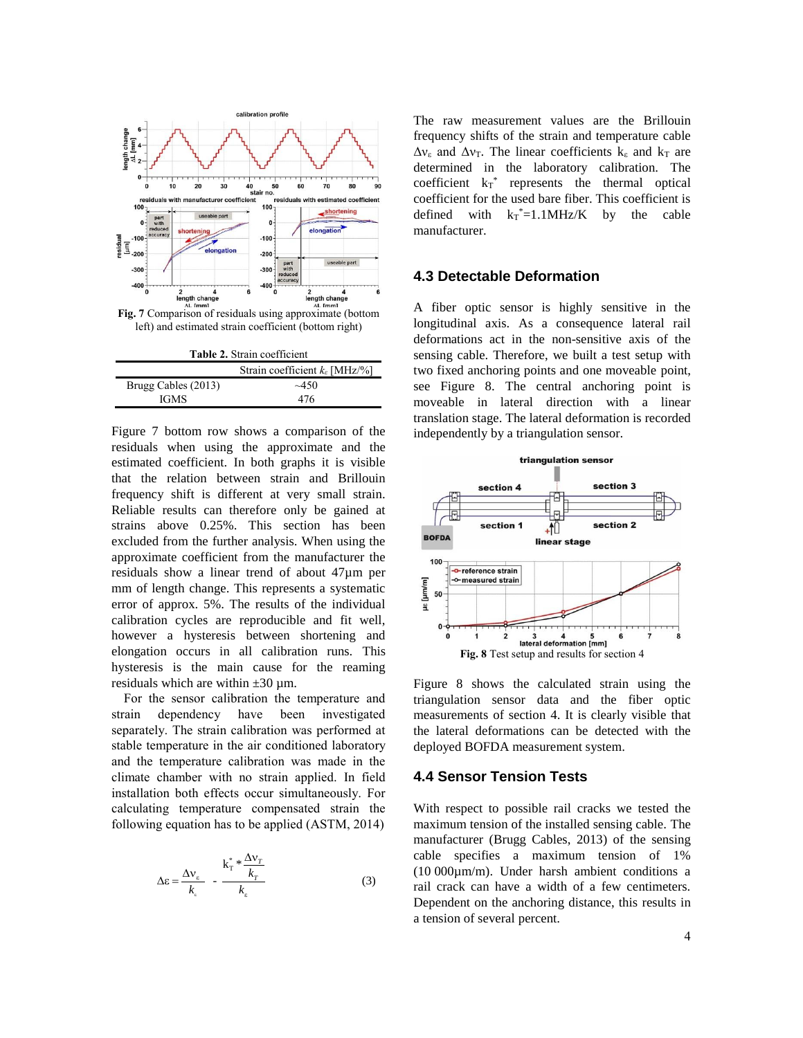

| <b>Table 2.</b> Strain coefficient           |        |  |
|----------------------------------------------|--------|--|
| Strain coefficient $k_{\varepsilon}$ [MHz/%] |        |  |
| Brugg Cables (2013)                          | $-450$ |  |
| <b>IGMS</b>                                  | 476    |  |

Figure 7 bottom row shows a comparison of the residuals when using the approximate and the estimated coefficient. In both graphs it is visible that the relation between strain and Brillouin frequency shift is different at very small strain. Reliable results can therefore only be gained at strains above 0.25%. This section has been excluded from the further analysis. When using the approximate coefficient from the manufacturer the residuals show a linear trend of about 47µm per mm of length change. This represents a systematic error of approx. 5%. The results of the individual calibration cycles are reproducible and fit well, however a hysteresis between shortening and elongation occurs in all calibration runs. This hysteresis is the main cause for the reaming residuals which are within  $\pm 30 \text{ µm}$ .

For the sensor calibration the temperature and strain dependency have been investigated separately. The strain calibration was performed at stable temperature in the air conditioned laboratory and the temperature calibration was made in the climate chamber with no strain applied. In field installation both effects occur simultaneously. For calculating temperature compensated strain the following equation has to be applied (ASTM, 2014)

$$
\Delta \varepsilon = \frac{\Delta v_{\varepsilon}}{k_{\varepsilon}} - \frac{k_{\mathrm{T}}^{*} \times \frac{\Delta v_{\mathrm{T}}}{k_{\mathrm{T}}}}{k_{\varepsilon}}
$$
(3)

The raw measurement values are the Brillouin frequency shifts of the strain and temperature cable  $\Delta v_{\epsilon}$  and  $\Delta v_{\rm T}$ . The linear coefficients k<sub>ε</sub> and k<sub>T</sub> are determined in the laboratory calibration. The coefficient  $k_T^*$  represents the thermal optical coefficient for the used bare fiber. This coefficient is defined with  $k_T^* = 1.1 \text{MHz/K}$  by the cable manufacturer.

# **4.3 Detectable Deformation**

A fiber optic sensor is highly sensitive in the longitudinal axis. As a consequence lateral rail deformations act in the non-sensitive axis of the sensing cable. Therefore, we built a test setup with two fixed anchoring points and one moveable point, see Figure 8. The central anchoring point is moveable in lateral direction with a linear translation stage. The lateral deformation is recorded independently by a triangulation sensor.



Figure 8 shows the calculated strain using the triangulation sensor data and the fiber optic measurements of section 4. It is clearly visible that the lateral deformations can be detected with the deployed BOFDA measurement system.

## **4.4 Sensor Tension Tests**

With respect to possible rail cracks we tested the maximum tension of the installed sensing cable. The manufacturer (Brugg Cables, 2013) of the sensing cable specifies a maximum tension of 1% (10 000µm/m). Under harsh ambient conditions a rail crack can have a width of a few centimeters. Dependent on the anchoring distance, this results in a tension of several percent.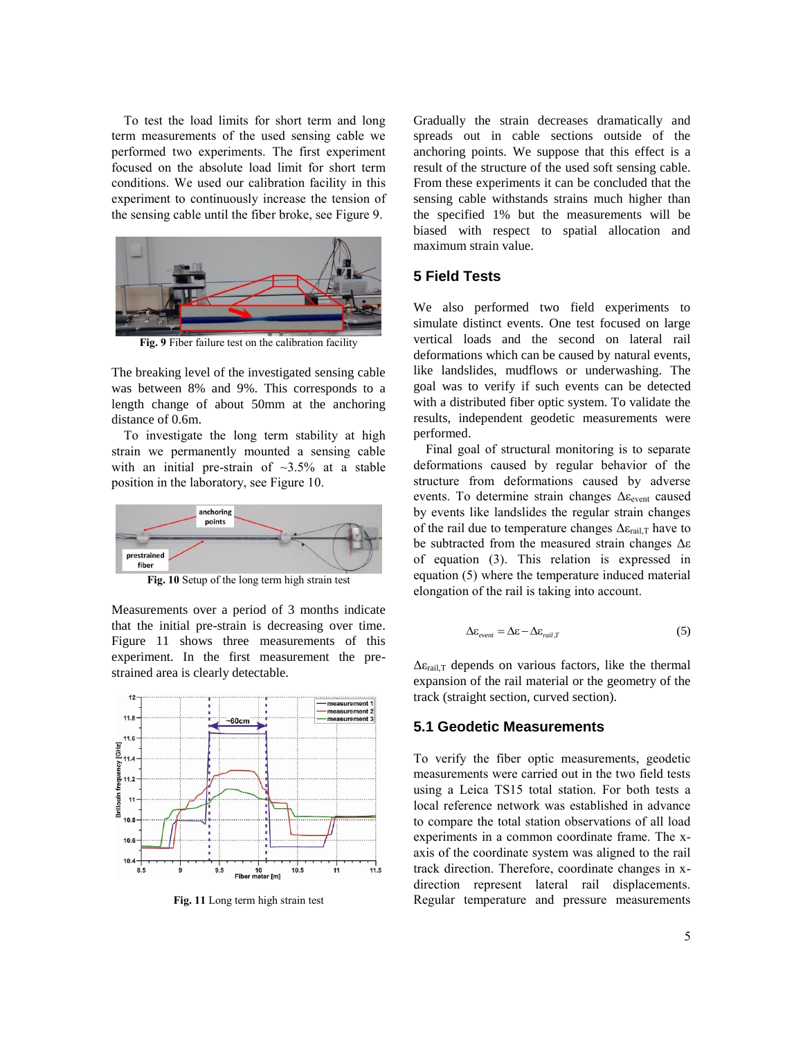To test the load limits for short term and long term measurements of the used sensing cable we performed two experiments. The first experiment focused on the absolute load limit for short term conditions. We used our calibration facility in this experiment to continuously increase the tension of the sensing cable until the fiber broke, see Figure 9.



**Fig. 9** Fiber failure test on the calibration facility

The breaking level of the investigated sensing cable was between 8% and 9%. This corresponds to a length change of about 50mm at the anchoring distance of 0.6m.

To investigate the long term stability at high strain we permanently mounted a sensing cable with an initial pre-strain of  $\approx 3.5\%$  at a stable position in the laboratory, see Figure 10.



**Fig. 10** Setup of the long term high strain test

Measurements over a period of 3 months indicate that the initial pre-strain is decreasing over time. Figure 11 shows three measurements of this experiment. In the first measurement the prestrained area is clearly detectable.



**Fig. 11** Long term high strain test

Gradually the strain decreases dramatically and spreads out in cable sections outside of the anchoring points. We suppose that this effect is a result of the structure of the used soft sensing cable. From these experiments it can be concluded that the sensing cable withstands strains much higher than the specified 1% but the measurements will be biased with respect to spatial allocation and maximum strain value.

#### **5 Field Tests**

We also performed two field experiments to simulate distinct events. One test focused on large vertical loads and the second on lateral rail deformations which can be caused by natural events, like landslides, mudflows or underwashing. The goal was to verify if such events can be detected with a distributed fiber optic system. To validate the results, independent geodetic measurements were performed.

Final goal of structural monitoring is to separate deformations caused by regular behavior of the structure from deformations caused by adverse events. To determine strain changes  $\Delta \varepsilon_{\text{event}}$  caused by events like landslides the regular strain changes of the rail due to temperature changes  $\Delta \varepsilon_{\text{real},T}$  have to be subtracted from the measured strain changes Δε of equation (3). This relation is expressed in equation (5) where the temperature induced material elongation of the rail is taking into account.

$$
\Delta \varepsilon_{\text{even}} = \Delta \varepsilon - \Delta \varepsilon_{\text{real},T} \tag{5}
$$

 $\Delta \varepsilon_{\text{rad,T}}$  depends on various factors, like the thermal expansion of the rail material or the geometry of the track (straight section, curved section).

#### **5.1 Geodetic Measurements**

To verify the fiber optic measurements, geodetic measurements were carried out in the two field tests using a Leica TS15 total station. For both tests a local reference network was established in advance to compare the total station observations of all load experiments in a common coordinate frame. The xaxis of the coordinate system was aligned to the rail track direction. Therefore, coordinate changes in xdirection represent lateral rail displacements. Regular temperature and pressure measurements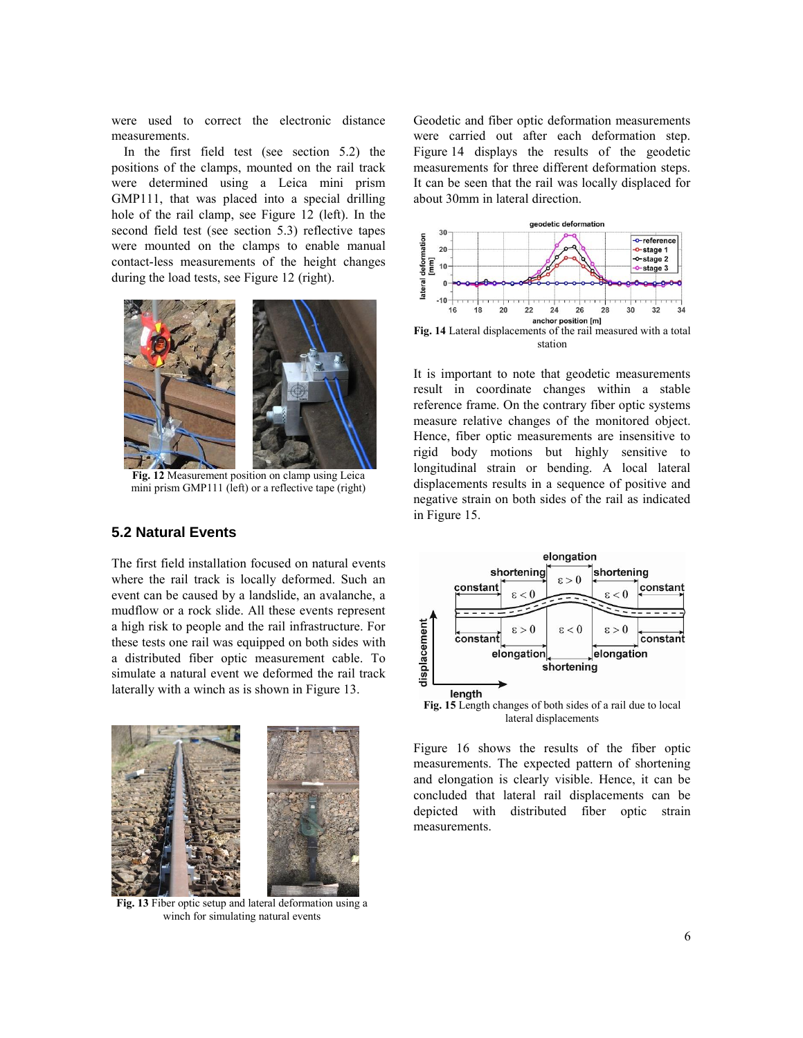were used to correct the electronic distance measurements.

In the first field test (see section 5.2) the positions of the clamps, mounted on the rail track were determined using a Leica mini prism GMP111, that was placed into a special drilling hole of the rail clamp, see Figure 12 (left). In the second field test (see section 5.3) reflective tapes were mounted on the clamps to enable manual contact-less measurements of the height changes during the load tests, see Figure 12 (right).



**Fig. 12** Measurement position on clamp using Leica mini prism GMP111 (left) or a reflective tape (right)

# **5.2 Natural Events**

The first field installation focused on natural events where the rail track is locally deformed. Such an event can be caused by a landslide, an avalanche, a mudflow or a rock slide. All these events represent a high risk to people and the rail infrastructure. For these tests one rail was equipped on both sides with a distributed fiber optic measurement cable. To simulate a natural event we deformed the rail track laterally with a winch as is shown in Figure 13.



**Fig. 13** Fiber optic setup and lateral deformation using a winch for simulating natural events

Geodetic and fiber optic deformation measurements were carried out after each deformation step. Figure 14 displays the results of the geodetic measurements for three different deformation steps. It can be seen that the rail was locally displaced for about 30mm in lateral direction.



**Fig. 14** Lateral displacements of the rail measured with a total station

It is important to note that geodetic measurements result in coordinate changes within a stable reference frame. On the contrary fiber optic systems measure relative changes of the monitored object. Hence, fiber optic measurements are insensitive to rigid body motions but highly sensitive to longitudinal strain or bending. A local lateral displacements results in a sequence of positive and negative strain on both sides of the rail as indicated in Figure 15.



lateral displacements

Figure 16 shows the results of the fiber optic measurements. The expected pattern of shortening and elongation is clearly visible. Hence, it can be concluded that lateral rail displacements can be depicted with distributed fiber optic strain measurements.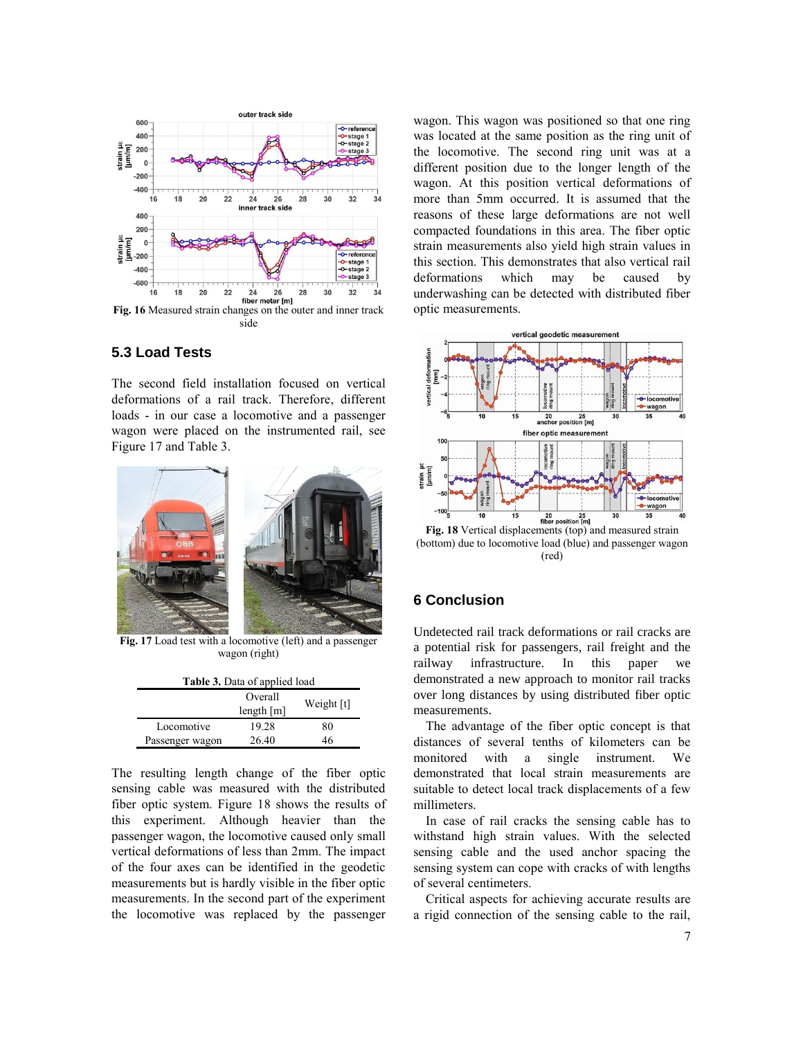

# **5.3 Load Tests**

The second field installation focused on vertical deformations of a rail track. Therefore, different loads - in our case a locomotive and a passenger wagon were placed on the instrumented rail, see Figure 17 and Table 3.



**Fig. 17** Load test with a locomotive (left) and a passenger wagon (right)

| <b>Table 3.</b> Data of applied load |                         |            |
|--------------------------------------|-------------------------|------------|
|                                      | Overall<br>length $[m]$ | Weight [t] |
| Locomotive                           | 19.28                   | 80         |
| Passenger wagon                      | 26.40                   | 46         |

The resulting length change of the fiber optic sensing cable was measured with the distributed fiber optic system. Figure 18 shows the results of this experiment. Although heavier than the passenger wagon, the locomotive caused only small vertical deformations of less than 2mm. The impact of the four axes can be identified in the geodetic measurements but is hardly visible in the fiber optic measurements. In the second part of the experiment the locomotive was replaced by the passenger wagon. This wagon was positioned so that one ring was located at the same position as the ring unit of the locomotive. The second ring unit was at a different position due to the longer length of the wagon. At this position vertical deformations of more than 5mm occurred. It is assumed that the reasons of these large deformations are not well compacted foundations in this area. The fiber optic strain measurements also yield high strain values in this section. This demonstrates that also vertical rail deformations which may be caused by underwashing can be detected with distributed fiber optic measurements.



**Fig. 18** Vertical displacements (top) and measured strain (bottom) due to locomotive load (blue) and passenger wagon (red)

# **6 Conclusion**

Undetected rail track deformations or rail cracks are a potential risk for passengers, rail freight and the railway infrastructure. In this paper we demonstrated a new approach to monitor rail tracks over long distances by using distributed fiber optic measurements.

The advantage of the fiber optic concept is that distances of several tenths of kilometers can be monitored with a single instrument. We demonstrated that local strain measurements are suitable to detect local track displacements of a few millimeters.

In case of rail cracks the sensing cable has to withstand high strain values. With the selected sensing cable and the used anchor spacing the sensing system can cope with cracks of with lengths of several centimeters.

Critical aspects for achieving accurate results are a rigid connection of the sensing cable to the rail,